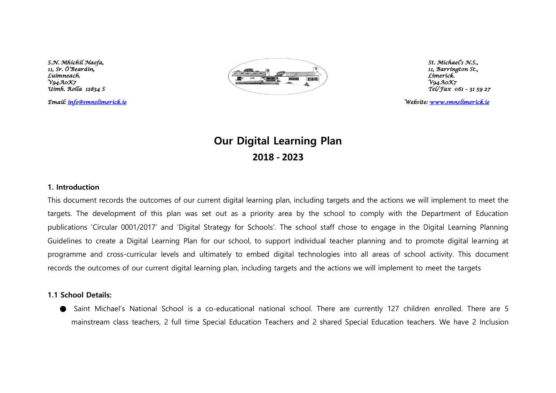

*Email: [info@smnslimerick.ie](mailto:info@smnslimerick.ie) Website: [www.smnslimerick.ie](http://www.smnslimerick.ie/)* 

## **Our Digital Learning Plan 2018 - 2023**

#### **1. Introduction**

This document records the outcomes of our current digital learning plan, including targets and the actions we will implement to meet the targets. The development of this plan was set out as a priority area by the school to comply with the Department of Education publications 'Circular 0001/2017' and 'Digital Strategy for Schools'. The school staff chose to engage in the Digital Learning Planning Guidelines to create a Digital Learning Plan for our school, to support individual teacher planning and to promote digital learning at programme and cross-curricular levels and ultimately to embed digital technologies into all areas of school activity. This document records the outcomes of our current digital learning plan, including targets and the actions we will implement to meet the targets

### **1.1 School Details:**

● Saint Michael's National School is a co-educational national school. There are currently 127 children enrolled. There are 5 mainstream class teachers, 2 full time Special Education Teachers and 2 shared Special Education teachers. We have 2 Inclusion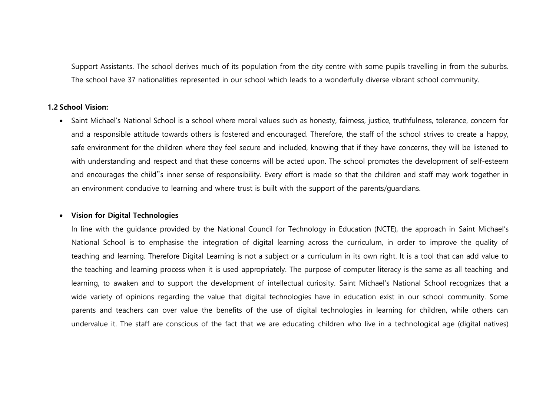Support Assistants. The school derives much of its population from the city centre with some pupils travelling in from the suburbs. The school have 37 nationalities represented in our school which leads to a wonderfully diverse vibrant school community.

#### **1.2 School Vision:**

• Saint Michael's National School is a school where moral values such as honesty, fairness, justice, truthfulness, tolerance, concern for and a responsible attitude towards others is fostered and encouraged. Therefore, the staff of the school strives to create a happy, safe environment for the children where they feel secure and included, knowing that if they have concerns, they will be listened to with understanding and respect and that these concerns will be acted upon. The school promotes the development of self-esteem and encourages the child"s inner sense of responsibility. Every effort is made so that the children and staff may work together in an environment conducive to learning and where trust is built with the support of the parents/guardians.

#### • **Vision for Digital Technologies**

In line with the guidance provided by the National Council for Technology in Education (NCTE), the approach in Saint Michael's National School is to emphasise the integration of digital learning across the curriculum, in order to improve the quality of teaching and learning. Therefore Digital Learning is not a subject or a curriculum in its own right. It is a tool that can add value to the teaching and learning process when it is used appropriately. The purpose of computer literacy is the same as all teaching and learning, to awaken and to support the development of intellectual curiosity. Saint Michael's National School recognizes that a wide variety of opinions regarding the value that digital technologies have in education exist in our school community. Some parents and teachers can over value the benefits of the use of digital technologies in learning for children, while others can undervalue it. The staff are conscious of the fact that we are educating children who live in a technological age (digital natives)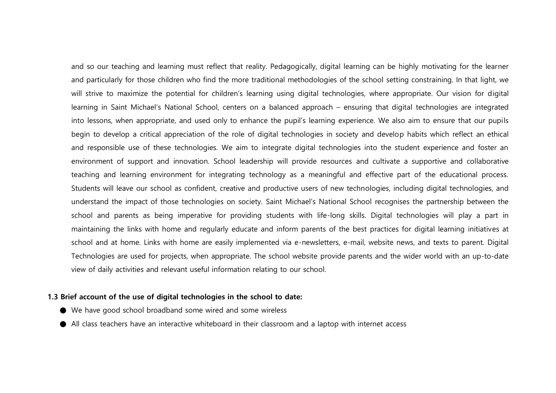and so our teaching and learning must reflect that reality. Pedagogically, digital learning can be highly motivating for the learner and particularly for those children who find the more traditional methodologies of the school setting constraining. In that light, we will strive to maximize the potential for children's learning using digital technologies, where appropriate. Our vision for digital learning in Saint Michael's National School, centers on a balanced approach – ensuring that digital technologies are integrated into lessons, when appropriate, and used only to enhance the pupil's learning experience. We also aim to ensure that our pupils begin to develop a critical appreciation of the role of digital technologies in society and develop habits which reflect an ethical and responsible use of these technologies. We aim to integrate digital technologies into the student experience and foster an environment of support and innovation. School leadership will provide resources and cultivate a supportive and collaborative teaching and learning environment for integrating technology as a meaningful and effective part of the educational process. Students will leave our school as confident, creative and productive users of new technologies, including digital technologies, and understand the impact of those technologies on society. Saint Michael's National School recognises the partnership between the school and parents as being imperative for providing students with life-long skills. Digital technologies will play a part in maintaining the links with home and regularly educate and inform parents of the best practices for digital learning initiatives at school and at home. Links with home are easily implemented via e-newsletters, e-mail, website news, and texts to parent. Digital Technologies are used for projects, when appropriate. The school website provide parents and the wider world with an up-to-date view of daily activities and relevant useful information relating to our school.

#### **1.3 Brief account of the use of digital technologies in the school to date:**

- We have good school broadband some wired and some wireless
- All class teachers have an interactive whiteboard in their classroom and a laptop with internet access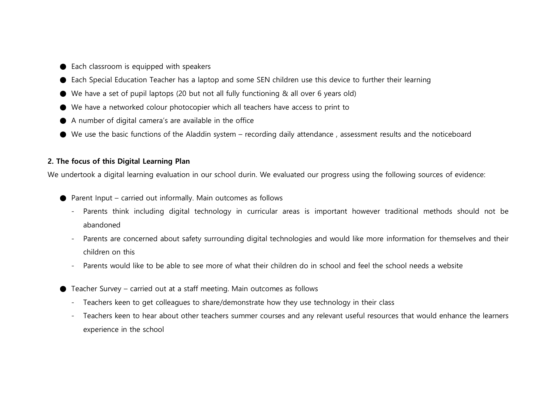- $\bullet$  Each classroom is equipped with speakers
- Each Special Education Teacher has a laptop and some SEN children use this device to further their learning
- We have a set of pupil laptops (20 but not all fully functioning & all over 6 years old)
- We have a networked colour photocopier which all teachers have access to print to
- A number of digital camera's are available in the office
- We use the basic functions of the Aladdin system recording daily attendance , assessment results and the noticeboard

## **2. The focus of this Digital Learning Plan**

We undertook a digital learning evaluation in our school durin. We evaluated our progress using the following sources of evidence:

- $\bullet$  Parent Input carried out informally. Main outcomes as follows
	- Parents think including digital technology in curricular areas is important however traditional methods should not be abandoned
	- Parents are concerned about safety surrounding digital technologies and would like more information for themselves and their children on this
	- Parents would like to be able to see more of what their children do in school and feel the school needs a website
- Teacher Survey carried out at a staff meeting. Main outcomes as follows
	- Teachers keen to get colleagues to share/demonstrate how they use technology in their class
	- Teachers keen to hear about other teachers summer courses and any relevant useful resources that would enhance the learners experience in the school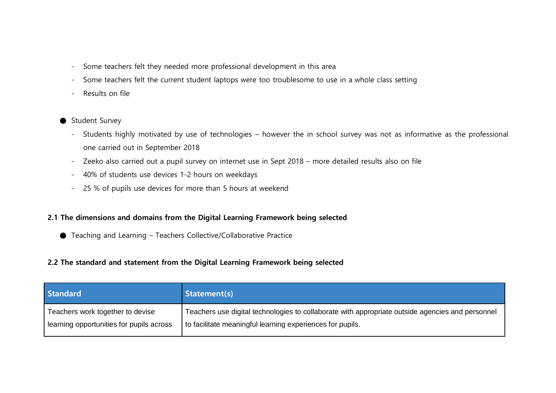- Some teachers felt they needed more professional development in this area
- Some teachers felt the current student laptops were too troublesome to use in a whole class setting
- Results on file
- Student Survey
	- Students highly motivated by use of technologies however the in school survey was not as informative as the professional one carried out in September 2018
	- Zeeko also carried out a pupil survey on internet use in Sept 2018 more detailed results also on file
	- 40% of students use devices 1-2 hours on weekdays
	- 25 % of pupils use devices for more than 5 hours at weekend

## **2.1 The dimensions and domains from the Digital Learning Framework being selected**

● Teaching and Learning – Teachers Collective/Collaborative Practice

## **2.2 The standard and statement from the Digital Learning Framework being selected**

| <b>Standard</b>                          | Statement(s)                                                                                     |
|------------------------------------------|--------------------------------------------------------------------------------------------------|
| Teachers work together to devise         | Teachers use digital technologies to collaborate with appropriate outside agencies and personnel |
| learning opportunities for pupils across | to facilitate meaningful learning experiences for pupils.                                        |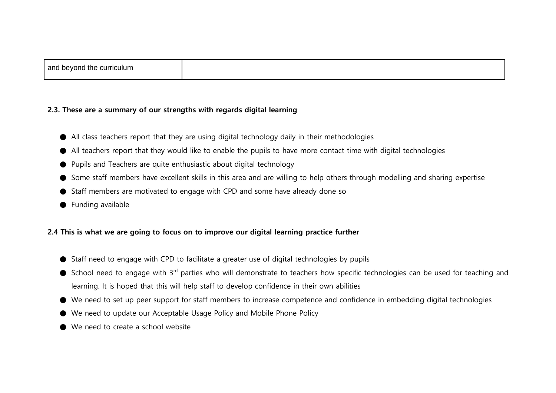#### **2.3. These are a summary of our strengths with regards digital learning**

- All class teachers report that they are using digital technology daily in their methodologies
- All teachers report that they would like to enable the pupils to have more contact time with digital technologies
- Pupils and Teachers are quite enthusiastic about digital technology
- Some staff members have excellent skills in this area and are willing to help others through modelling and sharing expertise
- Staff members are motivated to engage with CPD and some have already done so
- Funding available

## **2.4 This is what we are going to focus on to improve our digital learning practice further**

- Staff need to engage with CPD to facilitate a greater use of digital technologies by pupils
- School need to engage with 3<sup>rd</sup> parties who will demonstrate to teachers how specific technologies can be used for teaching and learning. It is hoped that this will help staff to develop confidence in their own abilities
- We need to set up peer support for staff members to increase competence and confidence in embedding digital technologies
- We need to update our Acceptable Usage Policy and Mobile Phone Policy
- We need to create a school website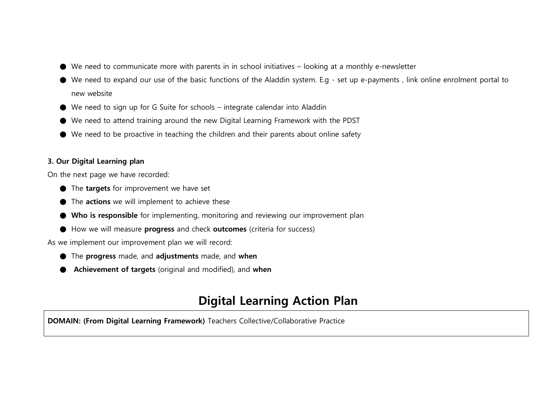- We need to communicate more with parents in in school initiatives looking at a monthly e-newsletter
- We need to expand our use of the basic functions of the Aladdin system. E.g set up e-payments , link online enrolment portal to new website
- We need to sign up for G Suite for schools integrate calendar into Aladdin
- We need to attend training around the new Digital Learning Framework with the PDST
- We need to be proactive in teaching the children and their parents about online safety

## **3. Our Digital Learning plan**

On the next page we have recorded:

- The **targets** for improvement we have set
- The **actions** we will implement to achieve these
- **Who is responsible** for implementing, monitoring and reviewing our improvement plan
- How we will measure **progress** and check **outcomes** (criteria for success)

As we implement our improvement plan we will record:

- The **progress** made, and **adjustments** made, and **when**
- **Achievement of targets** (original and modified), and **when**

# **Digital Learning Action Plan**

**DOMAIN: (From Digital Learning Framework)** Teachers Collective/Collaborative Practice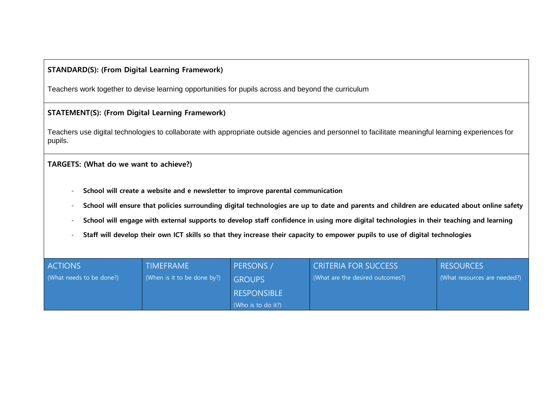## **STANDARD(S): (From Digital Learning Framework)**

Teachers work together to devise learning opportunities for pupils across and beyond the curriculum

## **STATEMENT(S): (From Digital Learning Framework)**

Teachers use digital technologies to collaborate with appropriate outside agencies and personnel to facilitate meaningful learning experiences for pupils.

## **TARGETS: (What do we want to achieve?)**

- **School will create a website and e newsletter to improve parental communication**
- **School will ensure that policies surrounding digital technologies are up to date and parents and children are educated about online safety**
- **School will engage with external supports to develop staff confidence in using more digital technologies in their teaching and learning**
- **Staff will develop their own ICT skills so that they increase their capacity to empower pupils to use of digital technologies**

| <b>ACTIONS</b>           | <b>TIMEFRAME</b>            | PERSONS /          | <b>CRITERIA FOR SUCCESS</b>      | <b>RESOURCES</b>             |
|--------------------------|-----------------------------|--------------------|----------------------------------|------------------------------|
| (What needs to be done?) | (When is it to be done by?) | <b>GROUPS</b>      | (What are the desired outcomes?) | (What resources are needed?) |
|                          |                             | <b>RESPONSIBLE</b> |                                  |                              |
|                          |                             | (Who is to do it?) |                                  |                              |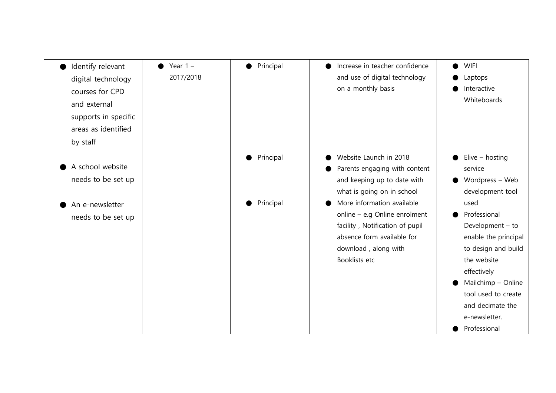| Identify relevant    | Year $1 -$ | Principal<br>$\bullet$ | Increase in teacher confidence  | <b>WIFI</b>          |
|----------------------|------------|------------------------|---------------------------------|----------------------|
| digital technology   | 2017/2018  |                        | and use of digital technology   | Laptops              |
| courses for CPD      |            |                        | on a monthly basis              | Interactive          |
| and external         |            |                        |                                 | Whiteboards          |
| supports in specific |            |                        |                                 |                      |
| areas as identified  |            |                        |                                 |                      |
|                      |            |                        |                                 |                      |
| by staff             |            |                        |                                 |                      |
|                      |            | Principal              | Website Launch in 2018          | Elive $-$ hosting    |
| A school website     |            |                        | Parents engaging with content   | service              |
| needs to be set up   |            |                        | and keeping up to date with     | Wordpress - Web      |
|                      |            |                        | what is going on in school      | development tool     |
| An e-newsletter      |            | Principal              | More information available      | used                 |
| needs to be set up   |            |                        | online - e.g Online enrolment   | Professional         |
|                      |            |                        | facility, Notification of pupil | Development - to     |
|                      |            |                        | absence form available for      | enable the principal |
|                      |            |                        | download, along with            | to design and build  |
|                      |            |                        | Booklists etc                   | the website          |
|                      |            |                        |                                 | effectively          |
|                      |            |                        |                                 | Mailchimp - Online   |
|                      |            |                        |                                 | tool used to create  |
|                      |            |                        |                                 | and decimate the     |
|                      |            |                        |                                 | e-newsletter.        |
|                      |            |                        |                                 | Professional         |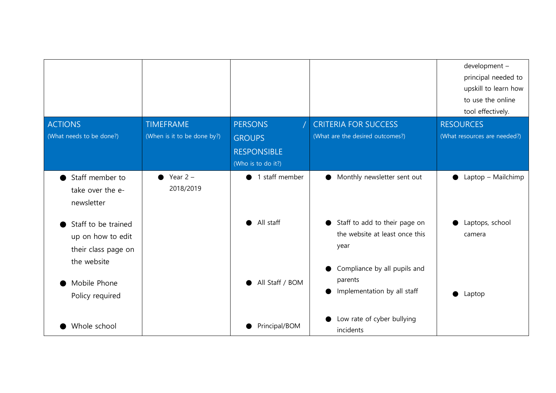|                          |                             |                             |                                         | development -<br>principal needed to<br>upskill to learn how<br>to use the online<br>tool effectively. |
|--------------------------|-----------------------------|-----------------------------|-----------------------------------------|--------------------------------------------------------------------------------------------------------|
| <b>ACTIONS</b>           | TIMEFRAME                   | <b>PERSONS</b>              | <b>CRITERIA FOR SUCCESS</b>             | <b>RESOURCES</b>                                                                                       |
| (What needs to be done?) | (When is it to be done by?) | <b>GROUPS</b>               | (What are the desired outcomes?)        | (What resources are needed?)                                                                           |
|                          |                             | <b>RESPONSIBLE</b>          |                                         |                                                                                                        |
|                          |                             | (Who is to do it?)          |                                         |                                                                                                        |
| Staff member to          | Year $2 -$<br>$\bullet$     | 1 staff member<br>$\bullet$ | Monthly newsletter sent out             | Laptop - Mailchimp                                                                                     |
| take over the e-         | 2018/2019                   |                             |                                         |                                                                                                        |
| newsletter               |                             |                             |                                         |                                                                                                        |
| Staff to be trained      |                             | All staff                   | Staff to add to their page on           | Laptops, school                                                                                        |
| up on how to edit        |                             |                             | the website at least once this          | camera                                                                                                 |
| their class page on      |                             |                             | year                                    |                                                                                                        |
| the website              |                             |                             |                                         |                                                                                                        |
|                          |                             |                             | Compliance by all pupils and<br>parents |                                                                                                        |
| Mobile Phone             |                             | All Staff / BOM             | Implementation by all staff             |                                                                                                        |
| Policy required          |                             |                             |                                         | Laptop                                                                                                 |
|                          |                             |                             | Low rate of cyber bullying              |                                                                                                        |
| Whole school             |                             | Principal/BOM               | incidents                               |                                                                                                        |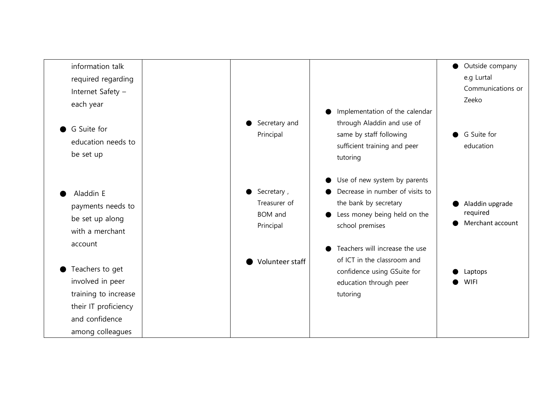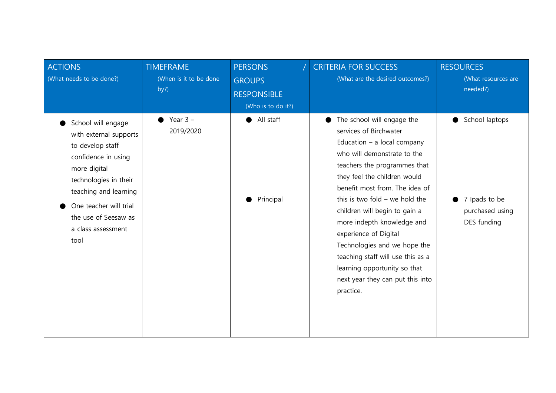| <b>ACTIONS</b><br>(What needs to be done?)                                                                                                                                                                                                | <b>TIMEFRAME</b><br>(When is it to be done<br>by?) | <b>PERSONS</b><br><b>GROUPS</b><br><b>RESPONSIBLE</b><br>(Who is to do it?) | <b>CRITERIA FOR SUCCESS</b><br>(What are the desired outcomes?)                                                                                                                                                                                                                                                                                                                                                                                                                                          | <b>RESOURCES</b><br>(What resources are<br>needed?)                    |
|-------------------------------------------------------------------------------------------------------------------------------------------------------------------------------------------------------------------------------------------|----------------------------------------------------|-----------------------------------------------------------------------------|----------------------------------------------------------------------------------------------------------------------------------------------------------------------------------------------------------------------------------------------------------------------------------------------------------------------------------------------------------------------------------------------------------------------------------------------------------------------------------------------------------|------------------------------------------------------------------------|
| School will engage<br>with external supports<br>to develop staff<br>confidence in using<br>more digital<br>technologies in their<br>teaching and learning<br>One teacher will trial<br>the use of Seesaw as<br>a class assessment<br>tool | Year $3 -$<br>2019/2020                            | All staff<br>Principal                                                      | The school will engage the<br>services of Birchwater<br>Education $-$ a local company<br>who will demonstrate to the<br>teachers the programmes that<br>they feel the children would<br>benefit most from. The idea of<br>this is two fold $-$ we hold the<br>children will begin to gain a<br>more indepth knowledge and<br>experience of Digital<br>Technologies and we hope the<br>teaching staff will use this as a<br>learning opportunity so that<br>next year they can put this into<br>practice. | School laptops<br>●<br>7 Ipads to be<br>purchased using<br>DES funding |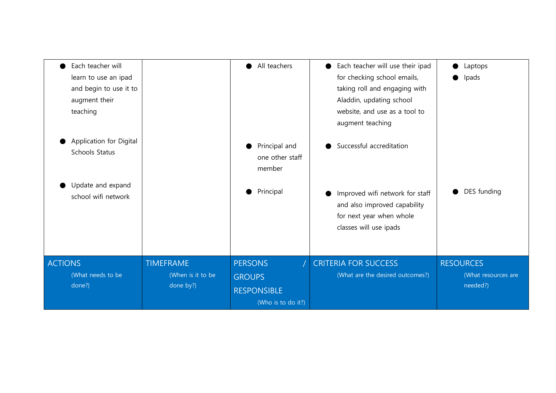| Each teacher will<br>learn to use an ipad<br>and begin to use it to<br>augment their<br>teaching |                                                    | All teachers<br>$\bullet$                                                   | Each teacher will use their ipad<br>for checking school emails,<br>taking roll and engaging with<br>Aladdin, updating school<br>website, and use as a tool to<br>augment teaching | Laptops<br>●<br>Ipads<br>D                          |
|--------------------------------------------------------------------------------------------------|----------------------------------------------------|-----------------------------------------------------------------------------|-----------------------------------------------------------------------------------------------------------------------------------------------------------------------------------|-----------------------------------------------------|
| Application for Digital<br>Schools Status<br>Update and expand<br>school wifi network            |                                                    | Principal and<br>one other staff<br>member<br>Principal                     | Successful accreditation<br>Improved wifi network for staff<br>and also improved capability<br>for next year when whole<br>classes will use ipads                                 | DES funding                                         |
|                                                                                                  |                                                    |                                                                             |                                                                                                                                                                                   |                                                     |
| <b>ACTIONS</b><br>(What needs to be<br>done?)                                                    | <b>TIMEFRAME</b><br>(When is it to be<br>done by?) | <b>PERSONS</b><br><b>GROUPS</b><br><b>RESPONSIBLE</b><br>(Who is to do it?) | <b>CRITERIA FOR SUCCESS</b><br>(What are the desired outcomes?)                                                                                                                   | <b>RESOURCES</b><br>(What resources are<br>needed?) |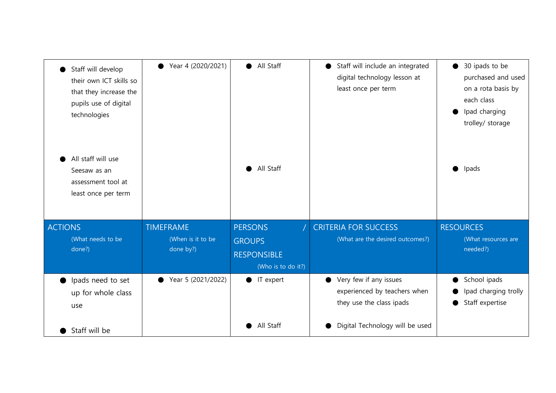| Staff will develop<br>their own ICT skills so<br>that they increase the<br>pupils use of digital<br>technologies | Year 4 (2020/2021) | All Staff<br>$\bullet$ | Staff will include an integrated<br>digital technology lesson at<br>least once per term | 30 ipads to be<br>$\bullet$<br>purchased and used<br>on a rota basis by<br>each class<br>Ipad charging<br>trolley/ storage |
|------------------------------------------------------------------------------------------------------------------|--------------------|------------------------|-----------------------------------------------------------------------------------------|----------------------------------------------------------------------------------------------------------------------------|
| All staff will use<br>Seesaw as an<br>assessment tool at<br>least once per term                                  |                    | All Staff              |                                                                                         | Ipads                                                                                                                      |
| <b>ACTIONS</b>                                                                                                   | <b>TIMEFRAME</b>   | <b>PERSONS</b>         | <b>CRITERIA FOR SUCCESS</b>                                                             | <b>RESOURCES</b>                                                                                                           |
| (What needs to be                                                                                                | (When is it to be  | <b>GROUPS</b>          | (What are the desired outcomes?)                                                        | (What resources are                                                                                                        |
| done?)                                                                                                           | done by?)          | <b>RESPONSIBLE</b>     |                                                                                         | needed?)                                                                                                                   |
|                                                                                                                  |                    | (Who is to do it?)     |                                                                                         |                                                                                                                            |
| Ipads need to set                                                                                                | Year 5 (2021/2022) | IT expert<br>$\bullet$ | Very few if any issues                                                                  | School ipads                                                                                                               |
| up for whole class                                                                                               |                    |                        | experienced by teachers when<br>they use the class ipads                                | Ipad charging trolly<br>Staff expertise                                                                                    |
| use                                                                                                              |                    |                        |                                                                                         |                                                                                                                            |
| Staff will be                                                                                                    |                    | All Staff              | Digital Technology will be used                                                         |                                                                                                                            |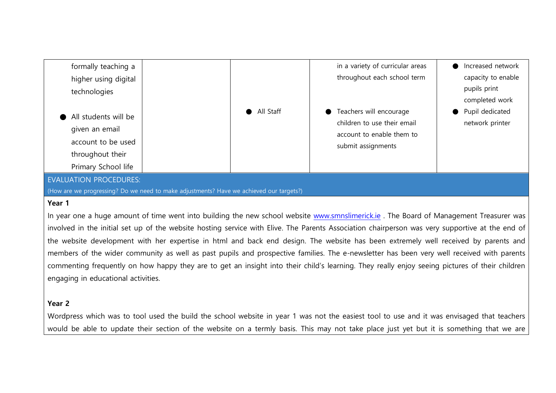

## **Year 1**

In year one a huge amount of time went into building the new school website [www.smnslimerick.ie](http://www.smnslimerick.ie/). The Board of Management Treasurer was involved in the initial set up of the website hosting service with Elive. The Parents Association chairperson was very supportive at the end of the website development with her expertise in html and back end design. The website has been extremely well received by parents and members of the wider community as well as past pupils and prospective families. The e-newsletter has been very well received with parents commenting frequently on how happy they are to get an insight into their child's learning. They really enjoy seeing pictures of their children engaging in educational activities.

## **Year 2**

Wordpress which was to tool used the build the school website in year 1 was not the easiest tool to use and it was envisaged that teachers would be able to update their section of the website on a termly basis. This may not take place just yet but it is something that we are